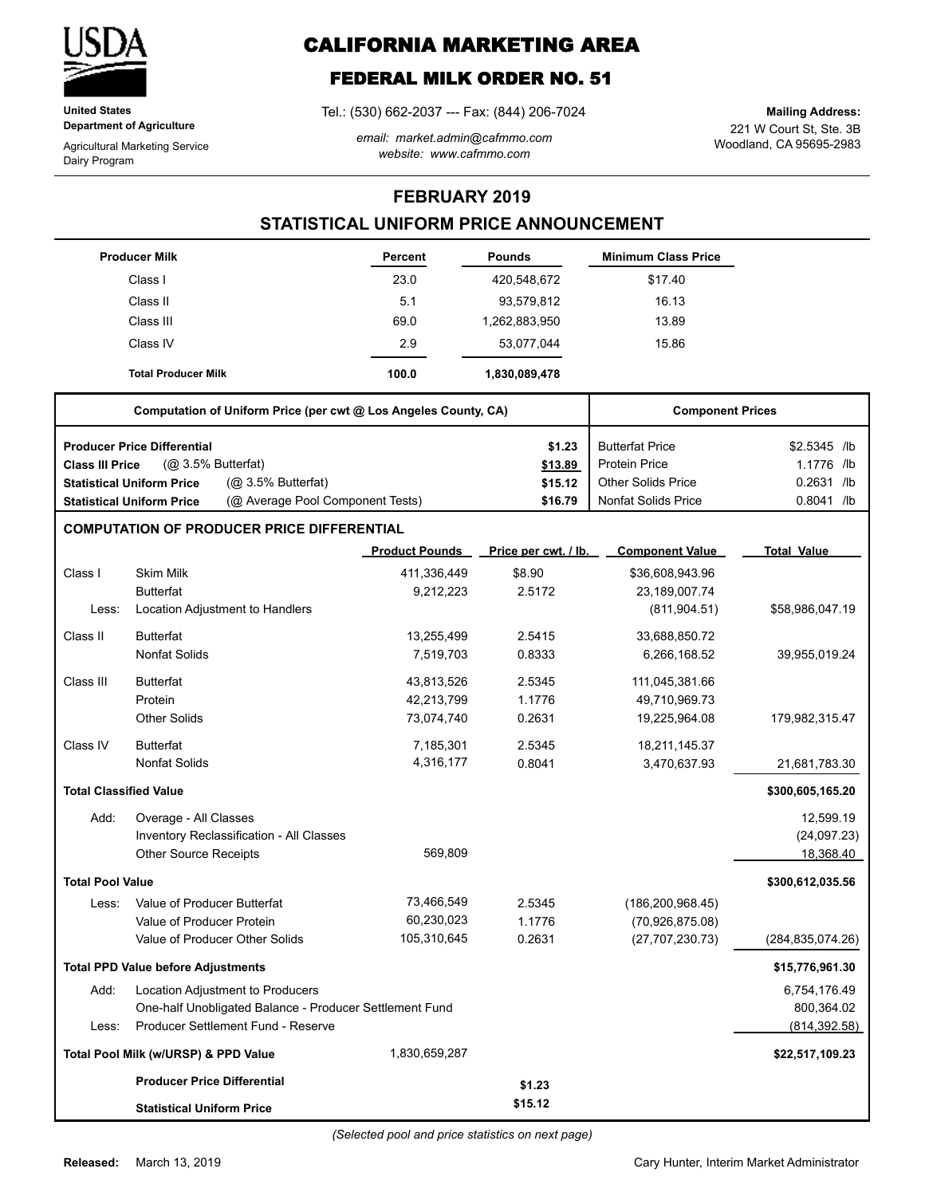

**United States Department of Agriculture**

Agricultural Marketing Service Dairy Program

# **CALIFORNIA MARKETING AREA**

# **FEDERAL MILK ORDER NO. 51**

Tel.: (530) 662-2037 --- Fax: (844) 206-7024

*email: market.admin@cafmmo.com website: www.cafmmo.com*

221 W Court St, Ste. 3B Woodland, CA 95695-2983 **Mailing Address:**

### **FEBRUARY 2019**

## **STATISTICAL UNIFORM PRICE ANNOUNCEMENT**

|                                                                 | <b>Producer Milk</b>                                                 | <b>Percent</b>        | <b>Pounds</b>        | <b>Minimum Class Price</b> |                    |
|-----------------------------------------------------------------|----------------------------------------------------------------------|-----------------------|----------------------|----------------------------|--------------------|
|                                                                 | Class I                                                              | 23.0                  | 420,548,672          | \$17.40                    |                    |
|                                                                 | Class II                                                             | 5.1                   | 93,579,812           | 16.13                      |                    |
|                                                                 | Class III                                                            | 69.0                  | 1,262,883,950        | 13.89                      |                    |
|                                                                 | Class IV                                                             | 2.9                   | 53,077,044           | 15.86                      |                    |
|                                                                 | <b>Total Producer Milk</b>                                           | 100.0                 | 1,830,089,478        |                            |                    |
| Computation of Uniform Price (per cwt @ Los Angeles County, CA) |                                                                      |                       |                      | <b>Component Prices</b>    |                    |
|                                                                 | <b>Producer Price Differential</b>                                   |                       | \$1.23               | <b>Butterfat Price</b>     | \$2.5345 /lb       |
| <b>Class III Price</b>                                          | $(Q0 3.5%$ Butterfat)                                                |                       | \$13.89              | <b>Protein Price</b>       | 1.1776 /lb         |
|                                                                 | (@ 3.5% Butterfat)<br><b>Statistical Uniform Price</b>               |                       | \$15.12              | <b>Other Solids Price</b>  | $0.2631$ /lb       |
|                                                                 | (@ Average Pool Component Tests)<br><b>Statistical Uniform Price</b> |                       | \$16.79              | <b>Nonfat Solids Price</b> | 0.8041 /lb         |
|                                                                 | <b>COMPUTATION OF PRODUCER PRICE DIFFERENTIAL</b>                    |                       |                      |                            |                    |
|                                                                 |                                                                      | <b>Product Pounds</b> | Price per cwt. / lb. | <b>Component Value</b>     | <b>Total Value</b> |
| Class I                                                         | <b>Skim Milk</b>                                                     | 411,336,449           | \$8.90               | \$36,608,943.96            |                    |
|                                                                 | <b>Butterfat</b>                                                     | 9,212,223             | 2.5172               | 23,189,007.74              |                    |
| Less:                                                           | Location Adjustment to Handlers                                      |                       |                      | (811, 904.51)              | \$58,986,047.19    |
| Class II                                                        | <b>Butterfat</b>                                                     | 13,255,499            | 2.5415               | 33,688,850.72              |                    |
|                                                                 | <b>Nonfat Solids</b>                                                 | 7,519,703             | 0.8333               | 6,266,168.52               | 39,955,019.24      |
| Class III                                                       | <b>Butterfat</b>                                                     | 43,813,526            | 2.5345               | 111,045,381.66             |                    |
|                                                                 | Protein                                                              | 42,213,799            | 1.1776               | 49,710,969.73              |                    |
|                                                                 | <b>Other Solids</b>                                                  | 73,074,740            | 0.2631               | 19,225,964.08              | 179,982,315.47     |
| Class IV                                                        | <b>Butterfat</b>                                                     | 7,185,301             | 2.5345               | 18,211,145.37              |                    |
|                                                                 | <b>Nonfat Solids</b>                                                 | 4,316,177             | 0.8041               | 3,470,637.93               | 21,681,783.30      |
| <b>Total Classified Value</b>                                   |                                                                      |                       |                      |                            | \$300,605,165.20   |
| Add:                                                            | Overage - All Classes                                                |                       |                      |                            | 12,599.19          |
|                                                                 | Inventory Reclassification - All Classes                             |                       |                      |                            | (24,097.23)        |
|                                                                 | <b>Other Source Receipts</b>                                         | 569,809               |                      |                            | 18,368.40          |
| <b>Total Pool Value</b>                                         |                                                                      |                       |                      |                            | \$300,612,035.56   |
| Less:                                                           | Value of Producer Butterfat                                          | 73,466,549            | 2.5345               | (186, 200, 968.45)         |                    |
|                                                                 | Value of Producer Protein                                            | 60,230,023            | 1.1776               | (70,926,875.08)            |                    |
|                                                                 | Value of Producer Other Solids                                       | 105,310,645           | 0.2631               | (27, 707, 230.73)          | (284, 835, 074.26) |
|                                                                 | <b>Total PPD Value before Adjustments</b>                            |                       |                      |                            | \$15,776,961.30    |
| Add:                                                            | Location Adjustment to Producers                                     |                       |                      |                            | 6,754,176.49       |
|                                                                 | One-half Unobligated Balance - Producer Settlement Fund              |                       |                      |                            | 800,364.02         |
| Less:                                                           | Producer Settlement Fund - Reserve                                   |                       |                      |                            | (814, 392.58)      |
|                                                                 | Total Pool Milk (w/URSP) & PPD Value                                 | 1,830,659,287         |                      |                            | \$22,517,109.23    |
|                                                                 | <b>Producer Price Differential</b>                                   |                       | \$1.23               |                            |                    |
|                                                                 | <b>Statistical Uniform Price</b>                                     |                       | \$15.12              |                            |                    |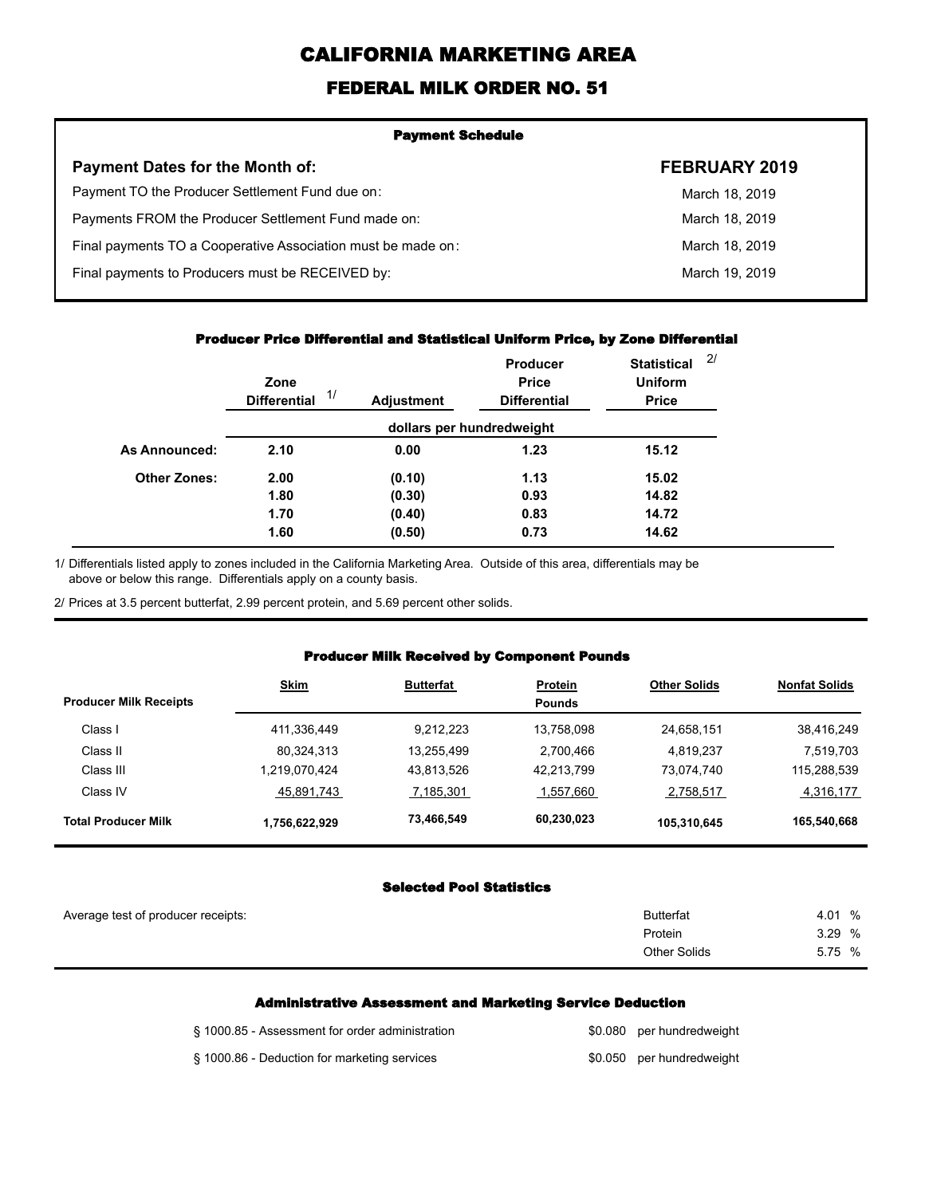# **CALIFORNIA MARKETING AREA**

## **FEDERAL MILK ORDER NO. 51**

| <b>Payment Schedule</b>                                      |                |  |  |  |
|--------------------------------------------------------------|----------------|--|--|--|
| <b>Payment Dates for the Month of:</b>                       | FEBRUARY 2019  |  |  |  |
| Payment TO the Producer Settlement Fund due on:              | March 18, 2019 |  |  |  |
| Payments FROM the Producer Settlement Fund made on:          | March 18, 2019 |  |  |  |
| Final payments TO a Cooperative Association must be made on: | March 18, 2019 |  |  |  |
| Final payments to Producers must be RECEIVED by:             | March 19, 2019 |  |  |  |
|                                                              |                |  |  |  |

#### **Producer Price Differential and Statistical Uniform Price, by Zone Differential**

|                     | Zone<br>1/<br><b>Differential</b> | <b>Adjustment</b> | <b>Producer</b><br><b>Price</b><br><b>Differential</b> | <b>Statistical</b><br><b>Uniform</b><br><b>Price</b> | 2 <sup>1</sup> |
|---------------------|-----------------------------------|-------------------|--------------------------------------------------------|------------------------------------------------------|----------------|
|                     |                                   |                   | dollars per hundredweight                              |                                                      |                |
| As Announced:       | 2.10                              | 0.00              | 1.23                                                   | 15.12                                                |                |
| <b>Other Zones:</b> | 2.00                              | (0.10)            | 1.13                                                   | 15.02                                                |                |
|                     | 1.80                              | (0.30)            | 0.93                                                   | 14.82                                                |                |
|                     | 1.70                              | (0.40)            | 0.83                                                   | 14.72                                                |                |
|                     | 1.60                              | (0.50)            | 0.73                                                   | 14.62                                                |                |

Differentials listed apply to zones included in the California Marketing Area. Outside of this area, differentials may be above or below this range. Differentials apply on a county basis. 1/

2/ Prices at 3.5 percent butterfat, 2.99 percent protein, and 5.69 percent other solids.

### **Producer Milk Received by Component Pounds**

| <b>Producer Milk Receipts</b> | <b>Skim</b>   | <b>Butterfat</b> | <b>Protein</b><br><b>Pounds</b> | <b>Other Solids</b> | <b>Nonfat Solids</b> |
|-------------------------------|---------------|------------------|---------------------------------|---------------------|----------------------|
| Class I                       | 411,336,449   | 9.212.223        | 13.758.098                      | 24,658,151          | 38,416,249           |
| Class II                      | 80,324,313    | 13.255.499       | 2,700,466                       | 4.819.237           | 7,519,703            |
| Class III                     | 1.219.070.424 | 43.813.526       | 42.213.799                      | 73.074.740          | 115,288,539          |
| Class IV                      | 45,891,743    | 7,185,301        | 1,557,660                       | 2,758,517           | 4,316,177            |
| <b>Total Producer Milk</b>    | 1,756,622,929 | 73,466,549       | 60,230,023                      | 105,310,645         | 165,540,668          |

## **Selected Pool Statistics**

| Average test of producer receipts: | <b>Butterfat</b> | 4.01<br>% |
|------------------------------------|------------------|-----------|
|                                    | Protein          | 3.29%     |
|                                    | Other Solids     | 5.75 %    |
|                                    |                  |           |

#### **Administrative Assessment and Marketing Service Deduction**

| § 1000.85 - Assessment for order administration | \$0.080 per hundredweight |
|-------------------------------------------------|---------------------------|
| § 1000.86 - Deduction for marketing services    | \$0.050 per hundredweight |